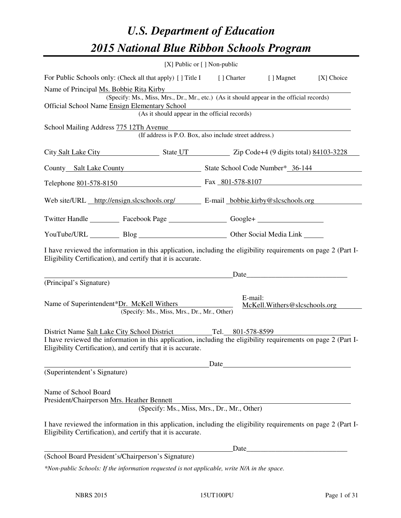# *U.S. Department of Education 2015 National Blue Ribbon Schools Program*

|                                                                                                                                                                                                                                                                 | [X] Public or [] Non-public |                                                        |                                 |  |  |
|-----------------------------------------------------------------------------------------------------------------------------------------------------------------------------------------------------------------------------------------------------------------|-----------------------------|--------------------------------------------------------|---------------------------------|--|--|
| For Public Schools only: (Check all that apply) [] Title I [] Charter [] Magnet<br>[X] Choice                                                                                                                                                                   |                             |                                                        |                                 |  |  |
| Name of Principal Ms. Bobbie Rita Kirby<br>(Specify: Ms., Miss, Mrs., Dr., Mr., etc.) (As it should appear in the official records)<br><b>Official School Name Ensign Elementary School</b><br>ementary School<br>(As it should appear in the official records) |                             |                                                        |                                 |  |  |
| School Mailing Address 775 12Th Avenue                                                                                                                                                                                                                          |                             | (If address is P.O. Box, also include street address.) |                                 |  |  |
| City Salt Lake City State UT State UT Zip Code+4 (9 digits total) 84103-3228                                                                                                                                                                                    |                             |                                                        |                                 |  |  |
| County Salt Lake County State School Code Number* 36-144                                                                                                                                                                                                        |                             |                                                        |                                 |  |  |
| Telephone <u>801-578-8150</u> Fax 801-578-8107                                                                                                                                                                                                                  |                             |                                                        |                                 |  |  |
| Web site/URL http://ensign.slcschools.org/ E-mail bobbie.kirby@slcschools.org                                                                                                                                                                                   |                             |                                                        |                                 |  |  |
| Twitter Handle ___________ Facebook Page ___________________ Google+ ____________                                                                                                                                                                               |                             |                                                        |                                 |  |  |
| YouTube/URL Blog Blog Cher Social Media Link                                                                                                                                                                                                                    |                             |                                                        |                                 |  |  |
| I have reviewed the information in this application, including the eligibility requirements on page 2 (Part I-<br>Eligibility Certification), and certify that it is accurate.                                                                                  |                             |                                                        |                                 |  |  |
| (Principal's Signature)                                                                                                                                                                                                                                         |                             |                                                        |                                 |  |  |
| Name of Superintendent*Dr. McKell Withers<br>(Specify: Ms., Miss, Mrs., Dr., Mr., Other)                                                                                                                                                                        |                             | E-mail:                                                | McKell. Withers @slcschools.org |  |  |
| District Name Salt Lake City School District Tel. 801-578-8599<br>I have reviewed the information in this application, including the eligibility requirements on page 2 (Part I-<br>Eligibility Certification), and certify that it is accurate.                |                             |                                                        |                                 |  |  |
| (Superintendent's Signature)                                                                                                                                                                                                                                    |                             | Date                                                   |                                 |  |  |
| Name of School Board<br>President/Chairperson Mrs. Heather Bennett<br>I have reviewed the information in this application, including the eligibility requirements on page 2 (Part I-<br>Eligibility Certification), and certify that it is accurate.            |                             | (Specify: Ms., Miss, Mrs., Dr., Mr., Other)            |                                 |  |  |
| Date                                                                                                                                                                                                                                                            |                             |                                                        |                                 |  |  |
| (School Board President's/Chairperson's Signature)                                                                                                                                                                                                              |                             |                                                        |                                 |  |  |
| *Non-public Schools: If the information requested is not applicable, write N/A in the space.                                                                                                                                                                    |                             |                                                        |                                 |  |  |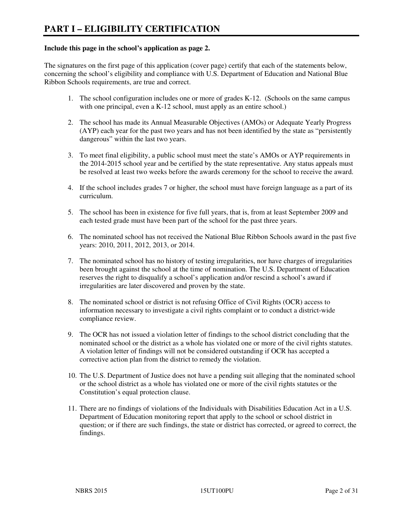#### **Include this page in the school's application as page 2.**

The signatures on the first page of this application (cover page) certify that each of the statements below, concerning the school's eligibility and compliance with U.S. Department of Education and National Blue Ribbon Schools requirements, are true and correct.

- 1. The school configuration includes one or more of grades K-12. (Schools on the same campus with one principal, even a K-12 school, must apply as an entire school.)
- 2. The school has made its Annual Measurable Objectives (AMOs) or Adequate Yearly Progress (AYP) each year for the past two years and has not been identified by the state as "persistently dangerous" within the last two years.
- 3. To meet final eligibility, a public school must meet the state's AMOs or AYP requirements in the 2014-2015 school year and be certified by the state representative. Any status appeals must be resolved at least two weeks before the awards ceremony for the school to receive the award.
- 4. If the school includes grades 7 or higher, the school must have foreign language as a part of its curriculum.
- 5. The school has been in existence for five full years, that is, from at least September 2009 and each tested grade must have been part of the school for the past three years.
- 6. The nominated school has not received the National Blue Ribbon Schools award in the past five years: 2010, 2011, 2012, 2013, or 2014.
- 7. The nominated school has no history of testing irregularities, nor have charges of irregularities been brought against the school at the time of nomination. The U.S. Department of Education reserves the right to disqualify a school's application and/or rescind a school's award if irregularities are later discovered and proven by the state.
- 8. The nominated school or district is not refusing Office of Civil Rights (OCR) access to information necessary to investigate a civil rights complaint or to conduct a district-wide compliance review.
- 9. The OCR has not issued a violation letter of findings to the school district concluding that the nominated school or the district as a whole has violated one or more of the civil rights statutes. A violation letter of findings will not be considered outstanding if OCR has accepted a corrective action plan from the district to remedy the violation.
- 10. The U.S. Department of Justice does not have a pending suit alleging that the nominated school or the school district as a whole has violated one or more of the civil rights statutes or the Constitution's equal protection clause.
- 11. There are no findings of violations of the Individuals with Disabilities Education Act in a U.S. Department of Education monitoring report that apply to the school or school district in question; or if there are such findings, the state or district has corrected, or agreed to correct, the findings.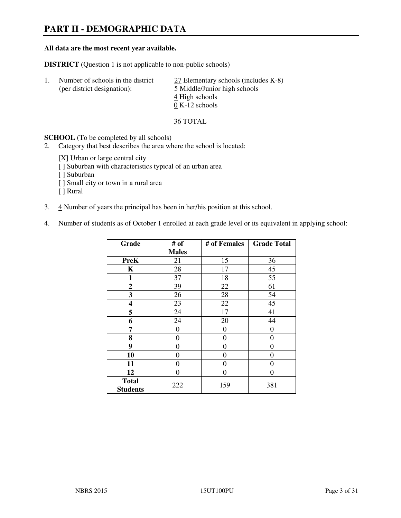# **PART II - DEMOGRAPHIC DATA**

#### **All data are the most recent year available.**

**DISTRICT** (Question 1 is not applicable to non-public schools)

| -1. | Number of schools in the district<br>(per district designation): | 27 Elementary schools (includes K-8)<br>5 Middle/Junior high schools<br>4 High schools<br>$0 K-12$ schools |
|-----|------------------------------------------------------------------|------------------------------------------------------------------------------------------------------------|
|     |                                                                  |                                                                                                            |

36 TOTAL

**SCHOOL** (To be completed by all schools)

- 2. Category that best describes the area where the school is located:
	- [X] Urban or large central city
	- [ ] Suburban with characteristics typical of an urban area
	- [ ] Suburban
	- [ ] Small city or town in a rural area
	- [ ] Rural
- 3. 4 Number of years the principal has been in her/his position at this school.
- 4. Number of students as of October 1 enrolled at each grade level or its equivalent in applying school:

| Grade                           | # of         | # of Females     | <b>Grade Total</b> |
|---------------------------------|--------------|------------------|--------------------|
|                                 | <b>Males</b> |                  |                    |
| <b>PreK</b>                     | 21           | 15               | 36                 |
| K                               | 28           | 17               | 45                 |
| 1                               | 37           | 18               | 55                 |
| $\boldsymbol{2}$                | 39           | 22               | 61                 |
| 3                               | 26           | 28               | 54                 |
| 4                               | 23           | 22               | 45                 |
| 5                               | 24           | 17               | 41                 |
| 6                               | 24           | 20               | 44                 |
| 7                               | 0            | $\boldsymbol{0}$ | 0                  |
| 8                               | 0            | $\overline{0}$   | 0                  |
| 9                               | $\theta$     | $\overline{0}$   | 0                  |
| 10                              | 0            | 0                | 0                  |
| 11                              | 0            | 0                | 0                  |
| 12                              | 0            | 0                | 0                  |
| <b>Total</b><br><b>Students</b> | 222          | 159              | 381                |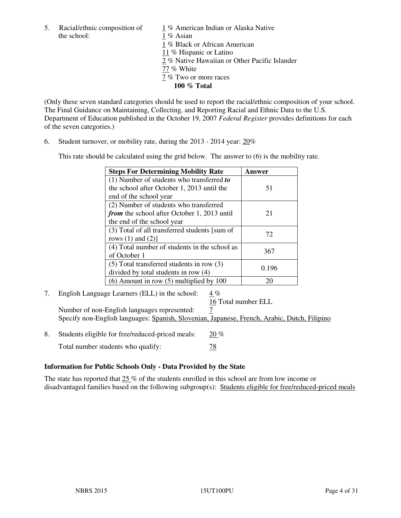the school: 1 % Asian

5. Racial/ethnic composition of  $1\%$  American Indian or Alaska Native 1 % Black or African American 11 % Hispanic or Latino 2 % Native Hawaiian or Other Pacific Islander 77 % White 7 % Two or more races **100 % Total** 

(Only these seven standard categories should be used to report the racial/ethnic composition of your school. The Final Guidance on Maintaining, Collecting, and Reporting Racial and Ethnic Data to the U.S. Department of Education published in the October 19, 2007 *Federal Register* provides definitions for each of the seven categories.)

6. Student turnover, or mobility rate, during the 2013 - 2014 year: 20%

This rate should be calculated using the grid below. The answer to (6) is the mobility rate.

| <b>Steps For Determining Mobility Rate</b>         | Answer |
|----------------------------------------------------|--------|
| $(1)$ Number of students who transferred to        |        |
| the school after October 1, 2013 until the         | 51     |
| end of the school year                             |        |
| (2) Number of students who transferred             |        |
| <i>from</i> the school after October 1, 2013 until | 21     |
| the end of the school year                         |        |
| (3) Total of all transferred students [sum of      | 72     |
| rows $(1)$ and $(2)$ ]                             |        |
| (4) Total number of students in the school as      | 367    |
| of October 1                                       |        |
| $(5)$ Total transferred students in row $(3)$      | 0.196  |
| divided by total students in row (4)               |        |
| $(6)$ Amount in row $(5)$ multiplied by 100        | 20     |

7. English Language Learners (ELL) in the school: 4 %

16 Total number ELL

Number of non-English languages represented: 7 Specify non-English languages: Spanish, Slovenian, Japanese, French, Arabic, Dutch, Filipino

8. Students eligible for free/reduced-priced meals:  $20\%$ Total number students who qualify:  $\frac{78}{2}$ 

# **Information for Public Schools Only - Data Provided by the State**

The state has reported that  $25\%$  of the students enrolled in this school are from low income or disadvantaged families based on the following subgroup(s): Students eligible for free/reduced-priced meals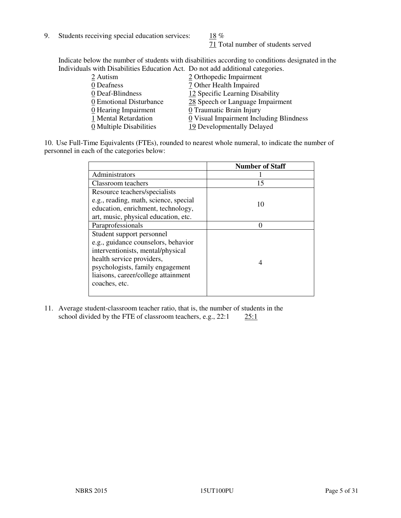9. Students receiving special education services:  $18\%$ 

71 Total number of students served

Indicate below the number of students with disabilities according to conditions designated in the Individuals with Disabilities Education Act. Do not add additional categories.

| 2 Autism                | 2 Orthopedic Impairment                 |
|-------------------------|-----------------------------------------|
| 0 Deafness              | 7 Other Health Impaired                 |
| 0 Deaf-Blindness        | 12 Specific Learning Disability         |
| 0 Emotional Disturbance | 28 Speech or Language Impairment        |
| 0 Hearing Impairment    | 0 Traumatic Brain Injury                |
| 1 Mental Retardation    | 0 Visual Impairment Including Blindness |
| 0 Multiple Disabilities | 19 Developmentally Delayed              |
|                         |                                         |

10. Use Full-Time Equivalents (FTEs), rounded to nearest whole numeral, to indicate the number of personnel in each of the categories below:

|                                       | <b>Number of Staff</b> |
|---------------------------------------|------------------------|
| Administrators                        |                        |
| Classroom teachers                    | 15                     |
| Resource teachers/specialists         |                        |
| e.g., reading, math, science, special | 10                     |
| education, enrichment, technology,    |                        |
| art, music, physical education, etc.  |                        |
| Paraprofessionals                     |                        |
| Student support personnel             |                        |
| e.g., guidance counselors, behavior   |                        |
| interventionists, mental/physical     |                        |
| health service providers,             | 4                      |
| psychologists, family engagement      |                        |
| liaisons, career/college attainment   |                        |
| coaches, etc.                         |                        |
|                                       |                        |

11. Average student-classroom teacher ratio, that is, the number of students in the school divided by the FTE of classroom teachers, e.g.,  $22:1$   $25:1$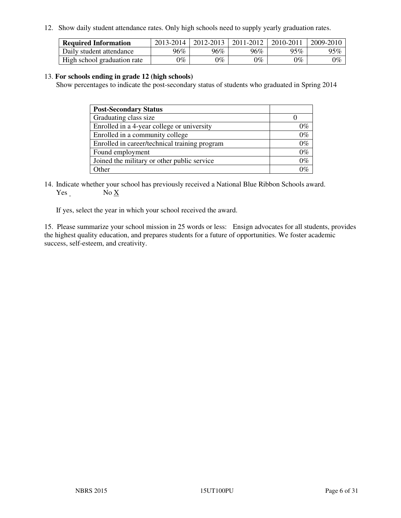12. Show daily student attendance rates. Only high schools need to supply yearly graduation rates.

| <b>Required Information</b> | 2013-2014     | 2012-2013 | 2011-2012 | 2010-2011 | 2009-2010 |
|-----------------------------|---------------|-----------|-----------|-----------|-----------|
| Daily student attendance    | 96%           | $96\%$    | 96%       | 95%       | 95%       |
| High school graduation rate | $\gamma_{\%}$ | 9%        | $0\%$     | $0\%$     | $0\%$     |

#### 13. **For schools ending in grade 12 (high schools)**

Show percentages to indicate the post-secondary status of students who graduated in Spring 2014

| <b>Post-Secondary Status</b>                  |       |
|-----------------------------------------------|-------|
| Graduating class size                         |       |
| Enrolled in a 4-year college or university    | በ‰    |
| Enrolled in a community college               | $0\%$ |
| Enrolled in career/technical training program | $0\%$ |
| Found employment                              | $0\%$ |
| Joined the military or other public service   | 0%    |
| Other                                         |       |

14. Indicate whether your school has previously received a National Blue Ribbon Schools award. Yes No X

If yes, select the year in which your school received the award.

15. Please summarize your school mission in 25 words or less: Ensign advocates for all students, provides the highest quality education, and prepares students for a future of opportunities. We foster academic success, self-esteem, and creativity.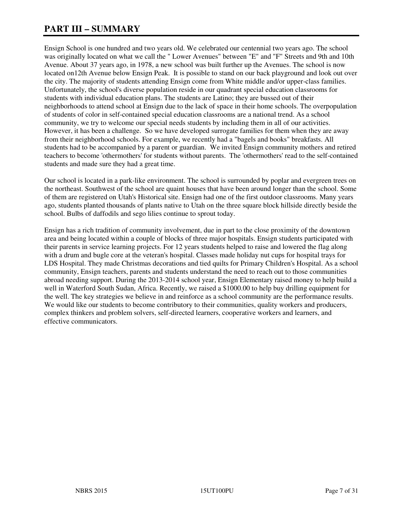# **PART III – SUMMARY**

Ensign School is one hundred and two years old. We celebrated our centennial two years ago. The school was originally located on what we call the " Lower Avenues" between "E" and "F" Streets and 9th and 10th Avenue. About 37 years ago, in 1978, a new school was built further up the Avenues. The school is now located on12th Avenue below Ensign Peak. It is possible to stand on our back playground and look out over the city. The majority of students attending Ensign come from White middle and/or upper-class families. Unfortunately, the school's diverse population reside in our quadrant special education classrooms for students with individual education plans. The students are Latino; they are bussed out of their neighborhoods to attend school at Ensign due to the lack of space in their home schools. The overpopulation of students of color in self-contained special education classrooms are a national trend. As a school community, we try to welcome our special needs students by including them in all of our activities. However, it has been a challenge. So we have developed surrogate families for them when they are away from their neighborhood schools. For example, we recently had a "bagels and books" breakfasts. All students had to be accompanied by a parent or guardian. We invited Ensign community mothers and retired teachers to become 'othermothers' for students without parents. The 'othermothers' read to the self-contained students and made sure they had a great time.

Our school is located in a park-like environment. The school is surrounded by poplar and evergreen trees on the northeast. Southwest of the school are quaint houses that have been around longer than the school. Some of them are registered on Utah's Historical site. Ensign had one of the first outdoor classrooms. Many years ago, students planted thousands of plants native to Utah on the three square block hillside directly beside the school. Bulbs of daffodils and sego lilies continue to sprout today.

Ensign has a rich tradition of community involvement, due in part to the close proximity of the downtown area and being located within a couple of blocks of three major hospitals. Ensign students participated with their parents in service learning projects. For 12 years students helped to raise and lowered the flag along with a drum and bugle core at the veteran's hospital. Classes made holiday nut cups for hospital trays for LDS Hospital. They made Christmas decorations and tied quilts for Primary Children's Hospital. As a school community, Ensign teachers, parents and students understand the need to reach out to those communities abroad needing support. During the 2013-2014 school year, Ensign Elementary raised money to help build a well in Waterford South Sudan, Africa. Recently, we raised a \$1000.00 to help buy drilling equipment for the well. The key strategies we believe in and reinforce as a school community are the performance results. We would like our students to become contributory to their communities, quality workers and producers, complex thinkers and problem solvers, self-directed learners, cooperative workers and learners, and effective communicators.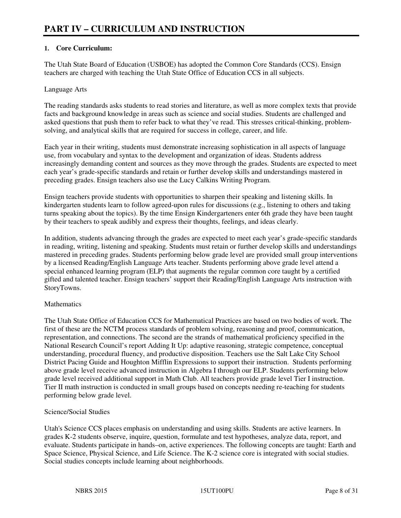# **1. Core Curriculum:**

The Utah State Board of Education (USBOE) has adopted the Common Core Standards (CCS). Ensign teachers are charged with teaching the Utah State Office of Education CCS in all subjects.

#### Language Arts

The reading standards asks students to read stories and literature, as well as more complex texts that provide facts and background knowledge in areas such as science and social studies. Students are challenged and asked questions that push them to refer back to what they've read. This stresses critical-thinking, problemsolving, and analytical skills that are required for success in college, career, and life.

Each year in their writing, students must demonstrate increasing sophistication in all aspects of language use, from vocabulary and syntax to the development and organization of ideas. Students address increasingly demanding content and sources as they move through the grades. Students are expected to meet each year's grade-specific standards and retain or further develop skills and understandings mastered in preceding grades. Ensign teachers also use the Lucy Calkins Writing Program.

Ensign teachers provide students with opportunities to sharpen their speaking and listening skills. In kindergarten students learn to follow agreed-upon rules for discussions (e.g., listening to others and taking turns speaking about the topics). By the time Ensign Kindergarteners enter 6th grade they have been taught by their teachers to speak audibly and express their thoughts, feelings, and ideas clearly.

In addition, students advancing through the grades are expected to meet each year's grade-specific standards in reading, writing, listening and speaking. Students must retain or further develop skills and understandings mastered in preceding grades. Students performing below grade level are provided small group interventions by a licensed Reading/English Language Arts teacher. Students performing above grade level attend a special enhanced learning program (ELP) that augments the regular common core taught by a certified gifted and talented teacher. Ensign teachers' support their Reading/English Language Arts instruction with StoryTowns.

# **Mathematics**

The Utah State Office of Education CCS for Mathematical Practices are based on two bodies of work. The first of these are the NCTM process standards of problem solving, reasoning and proof, communication, representation, and connections. The second are the strands of mathematical proficiency specified in the National Research Council's report Adding It Up: adaptive reasoning, strategic competence, conceptual understanding, procedural fluency, and productive disposition. Teachers use the Salt Lake City School District Pacing Guide and Houghton Mifflin Expressions to support their instruction. Students performing above grade level receive advanced instruction in Algebra I through our ELP. Students performing below grade level received additional support in Math Club. All teachers provide grade level Tier I instruction. Tier II math instruction is conducted in small groups based on concepts needing re-teaching for students performing below grade level.

# Science/Social Studies

Utah's Science CCS places emphasis on understanding and using skills. Students are active learners. In grades K-2 students observe, inquire, question, formulate and test hypotheses, analyze data, report, and evaluate. Students participate in hands–on, active experiences. The following concepts are taught: Earth and Space Science, Physical Science, and Life Science. The K-2 science core is integrated with social studies. Social studies concepts include learning about neighborhoods.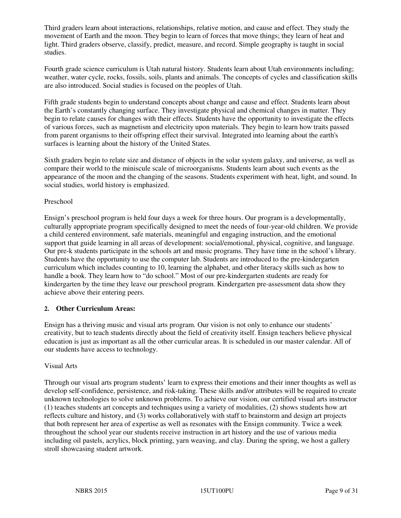Third graders learn about interactions, relationships, relative motion, and cause and effect. They study the movement of Earth and the moon. They begin to learn of forces that move things; they learn of heat and light. Third graders observe, classify, predict, measure, and record. Simple geography is taught in social studies.

Fourth grade science curriculum is Utah natural history. Students learn about Utah environments including; weather, water cycle, rocks, fossils, soils, plants and animals. The concepts of cycles and classification skills are also introduced. Social studies is focused on the peoples of Utah.

Fifth grade students begin to understand concepts about change and cause and effect. Students learn about the Earth's constantly changing surface. They investigate physical and chemical changes in matter. They begin to relate causes for changes with their effects. Students have the opportunity to investigate the effects of various forces, such as magnetism and electricity upon materials. They begin to learn how traits passed from parent organisms to their offspring effect their survival. Integrated into learning about the earth's surfaces is learning about the history of the United States.

Sixth graders begin to relate size and distance of objects in the solar system galaxy, and universe, as well as compare their world to the miniscule scale of microorganisms. Students learn about such events as the appearance of the moon and the changing of the seasons. Students experiment with heat, light, and sound. In social studies, world history is emphasized.

#### Preschool

Ensign's preschool program is held four days a week for three hours. Our program is a developmentally, culturally appropriate program specifically designed to meet the needs of four-year-old children. We provide a child centered environment, safe materials, meaningful and engaging instruction, and the emotional support that guide learning in all areas of development: social/emotional, physical, cognitive, and language. Our pre-k students participate in the schools art and music programs. They have time in the school's library. Students have the opportunity to use the computer lab. Students are introduced to the pre-kindergarten curriculum which includes counting to 10, learning the alphabet, and other literacy skills such as how to handle a book. They learn how to "do school." Most of our pre-kindergarten students are ready for kindergarten by the time they leave our preschool program. Kindergarten pre-assessment data show they achieve above their entering peers.

#### **2. Other Curriculum Areas:**

Ensign has a thriving music and visual arts program. Our vision is not only to enhance our students' creativity, but to teach students directly about the field of creativity itself. Ensign teachers believe physical education is just as important as all the other curricular areas. It is scheduled in our master calendar. All of our students have access to technology.

#### Visual Arts

Through our visual arts program students' learn to express their emotions and their inner thoughts as well as develop self-confidence, persistence, and risk-taking. These skills and/or attributes will be required to create unknown technologies to solve unknown problems. To achieve our vision, our certified visual arts instructor (1) teaches students art concepts and techniques using a variety of modalities, (2) shows students how art reflects culture and history, and (3) works collaboratively with staff to brainstorm and design art projects that both represent her area of expertise as well as resonates with the Ensign community. Twice a week throughout the school year our students receive instruction in art history and the use of various media including oil pastels, acrylics, block printing, yarn weaving, and clay. During the spring, we host a gallery stroll showcasing student artwork.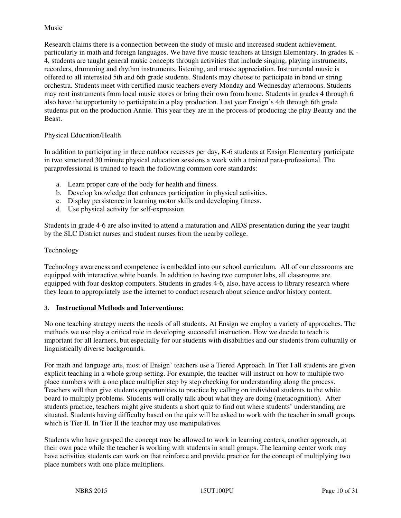#### Music

Research claims there is a connection between the study of music and increased student achievement, particularly in math and foreign languages. We have five music teachers at Ensign Elementary. In grades K - 4, students are taught general music concepts through activities that include singing, playing instruments, recorders, drumming and rhythm instruments, listening, and music appreciation. Instrumental music is offered to all interested 5th and 6th grade students. Students may choose to participate in band or string orchestra. Students meet with certified music teachers every Monday and Wednesday afternoons. Students may rent instruments from local music stores or bring their own from home. Students in grades 4 through 6 also have the opportunity to participate in a play production. Last year Ensign's 4th through 6th grade students put on the production Annie. This year they are in the process of producing the play Beauty and the Beast.

#### Physical Education/Health

In addition to participating in three outdoor recesses per day, K-6 students at Ensign Elementary participate in two structured 30 minute physical education sessions a week with a trained para-professional. The paraprofessional is trained to teach the following common core standards:

- a. Learn proper care of the body for health and fitness.
- b. Develop knowledge that enhances participation in physical activities.
- c. Display persistence in learning motor skills and developing fitness.
- d. Use physical activity for self-expression.

Students in grade 4-6 are also invited to attend a maturation and AIDS presentation during the year taught by the SLC District nurses and student nurses from the nearby college.

#### Technology

Technology awareness and competence is embedded into our school curriculum. All of our classrooms are equipped with interactive white boards. In addition to having two computer labs, all classrooms are equipped with four desktop computers. Students in grades 4-6, also, have access to library research where they learn to appropriately use the internet to conduct research about science and/or history content.

#### **3. Instructional Methods and Interventions:**

No one teaching strategy meets the needs of all students. At Ensign we employ a variety of approaches. The methods we use play a critical role in developing successful instruction. How we decide to teach is important for all learners, but especially for our students with disabilities and our students from culturally or linguistically diverse backgrounds.

For math and language arts, most of Ensign' teachers use a Tiered Approach. In Tier I all students are given explicit teaching in a whole group setting. For example, the teacher will instruct on how to multiple two place numbers with a one place multiplier step by step checking for understanding along the process. Teachers will then give students opportunities to practice by calling on individual students to the white board to multiply problems. Students will orally talk about what they are doing (metacognition). After students practice, teachers might give students a short quiz to find out where students' understanding are situated. Students having difficulty based on the quiz will be asked to work with the teacher in small groups which is Tier II. In Tier II the teacher may use manipulatives.

Students who have grasped the concept may be allowed to work in learning centers, another approach, at their own pace while the teacher is working with students in small groups. The learning center work may have activities students can work on that reinforce and provide practice for the concept of multiplying two place numbers with one place multipliers.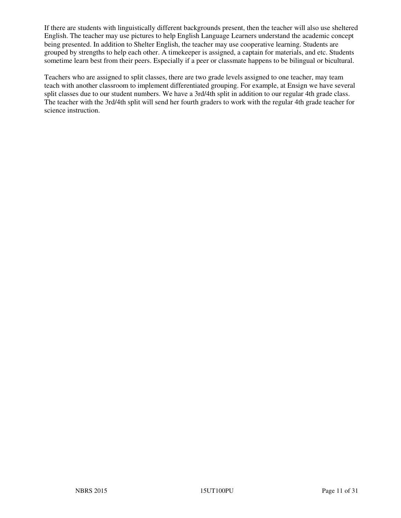If there are students with linguistically different backgrounds present, then the teacher will also use sheltered English. The teacher may use pictures to help English Language Learners understand the academic concept being presented. In addition to Shelter English, the teacher may use cooperative learning. Students are grouped by strengths to help each other. A timekeeper is assigned, a captain for materials, and etc. Students sometime learn best from their peers. Especially if a peer or classmate happens to be bilingual or bicultural.

Teachers who are assigned to split classes, there are two grade levels assigned to one teacher, may team teach with another classroom to implement differentiated grouping. For example, at Ensign we have several split classes due to our student numbers. We have a 3rd/4th split in addition to our regular 4th grade class. The teacher with the 3rd/4th split will send her fourth graders to work with the regular 4th grade teacher for science instruction.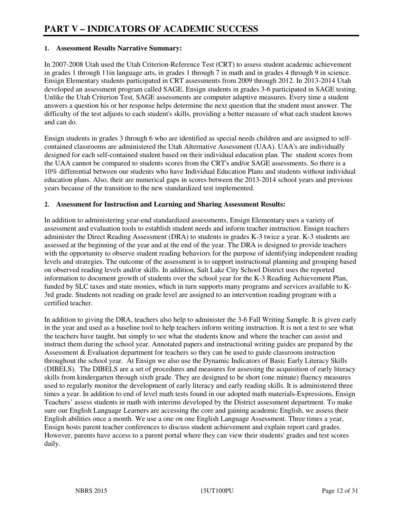#### **1. Assessment Results Narrative Summary:**

In 2007-2008 Utah used the Utah Criterion-Reference Test (CRT) to assess student academic achievement in grades 1 through 11in language arts, in grades 1 through 7 in math and in grades 4 through 9 in science. Ensign Elementary students participated in CRT assessments from 2009 through 2012. In 2013-2014 Utah developed an assessment program called SAGE. Ensign students in grades 3-6 participated in SAGE testing. Unlike the Utah Criterion Test, SAGE assessments are computer adaptive measures. Every time a student answers a question his or her response helps determine the next question that the student must answer. The difficulty of the test adjusts to each student's skills, providing a better measure of what each student knows and can do.

Ensign students in grades 3 through 6 who are identified as special needs children and are assigned to selfcontained classrooms are administered the Utah Alternative Assessment (UAA). UAA's are individually designed for each self-contained student based on their individual education plan. The student scores from the UAA cannot be compared to students scores from the CRT's and/or SAGE assessments. So there is a 10% differential between our students who have Individual Education Plans and students without individual education plans. Also, their are numerical gaps in scores between the 2013-2014 school years and previous years because of the transition to the new standardized test implemented.

#### **2. Assessment for Instruction and Learning and Sharing Assessment Results:**

In addition to administering year-end standardized assessments, Ensign Elementary uses a variety of assessment and evaluation tools to establish student needs and inform teacher instruction. Ensign teachers administer the Direct Reading Assessment (DRA) to students in grades K-3 twice a year. K-3 students are assessed at the beginning of the year and at the end of the year. The DRA is designed to provide teachers with the opportunity to observe student reading behaviors for the purpose of identifying independent reading levels and strategies. The outcome of the assessment is to support instructional planning and grouping based on observed reading levels and/or skills. In addition, Salt Lake City School District uses the reported information to document growth of students over the school year for the K-3 Reading Achievement Plan, funded by SLC taxes and state monies, which in turn supports many programs and services available to K-3rd grade. Students not reading on grade level are assigned to an intervention reading program with a certified teacher.

In addition to giving the DRA, teachers also help to administer the 3-6 Fall Writing Sample. It is given early in the year and used as a baseline tool to help teachers inform writing instruction. It is not a test to see what the teachers have taught, but simply to see what the students know and where the teacher can assist and instruct them during the school year. Annotated papers and instructional writing guides are prepared by the Assessment & Evaluation department for teachers so they can be used to guide classroom instruction throughout the school year. At Ensign we also use the Dynamic Indicators of Basic Early Literacy Skills (DIBELS). The DIBELS are a set of procedures and measures for assessing the acquisition of early literacy skills from kindergarten through sixth grade. They are designed to be short (one minute) fluency measures used to regularly monitor the development of early literacy and early reading skills. It is administered three times a year. In addition to end of level math tests found in our adopted math materials-Expressions, Ensign Teachers' assess students in math with interims developed by the District assessment department. To make sure our English Language Learners are accessing the core and gaining academic English, we assess their English abilities once a month. We use a one on one English Language Assessment. Three times a year, Ensign hosts parent teacher conferences to discuss student achievement and explain report card grades. However, parents have access to a parent portal where they can view their students' grades and test scores daily.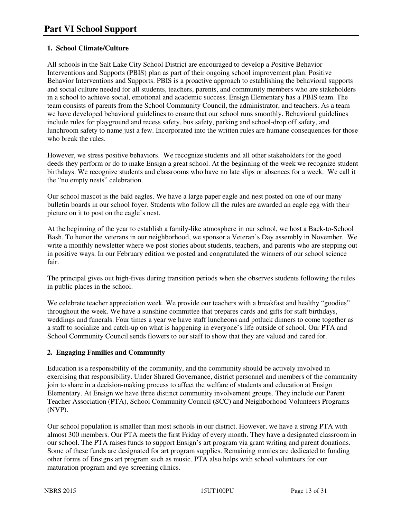# **1. School Climate/Culture**

All schools in the Salt Lake City School District are encouraged to develop a Positive Behavior Interventions and Supports (PBIS) plan as part of their ongoing school improvement plan. Positive Behavior Interventions and Supports. PBIS is a proactive approach to establishing the behavioral supports and social culture needed for all students, teachers, parents, and community members who are stakeholders in a school to achieve social, emotional and academic success. Ensign Elementary has a PBIS team. The team consists of parents from the School Community Council, the administrator, and teachers. As a team we have developed behavioral guidelines to ensure that our school runs smoothly. Behavioral guidelines include rules for playground and recess safety, bus safety, parking and school-drop off safety, and lunchroom safety to name just a few. Incorporated into the written rules are humane consequences for those who break the rules.

However, we stress positive behaviors. We recognize students and all other stakeholders for the good deeds they perform or do to make Ensign a great school. At the beginning of the week we recognize student birthdays. We recognize students and classrooms who have no late slips or absences for a week. We call it the "no empty nests" celebration.

Our school mascot is the bald eagles. We have a large paper eagle and nest posted on one of our many bulletin boards in our school foyer. Students who follow all the rules are awarded an eagle egg with their picture on it to post on the eagle's nest.

At the beginning of the year to establish a family-like atmosphere in our school, we host a Back-to-School Bash. To honor the veterans in our neighborhood, we sponsor a Veteran's Day assembly in November. We write a monthly newsletter where we post stories about students, teachers, and parents who are stepping out in positive ways. In our February edition we posted and congratulated the winners of our school science fair.

The principal gives out high-fives during transition periods when she observes students following the rules in public places in the school.

We celebrate teacher appreciation week. We provide our teachers with a breakfast and healthy "goodies" throughout the week. We have a sunshine committee that prepares cards and gifts for staff birthdays, weddings and funerals. Four times a year we have staff luncheons and potluck dinners to come together as a staff to socialize and catch-up on what is happening in everyone's life outside of school. Our PTA and School Community Council sends flowers to our staff to show that they are valued and cared for.

# **2. Engaging Families and Community**

Education is a responsibility of the community, and the community should be actively involved in exercising that responsibility. Under Shared Governance, district personnel and members of the community join to share in a decision-making process to affect the welfare of students and education at Ensign Elementary. At Ensign we have three distinct community involvement groups. They include our Parent Teacher Association (PTA), School Community Council (SCC) and Neighborhood Volunteers Programs (NVP).

Our school population is smaller than most schools in our district. However, we have a strong PTA with almost 300 members. Our PTA meets the first Friday of every month. They have a designated classroom in our school. The PTA raises funds to support Ensign's art program via grant writing and parent donations. Some of these funds are designated for art program supplies. Remaining monies are dedicated to funding other forms of Ensigns art program such as music. PTA also helps with school volunteers for our maturation program and eye screening clinics.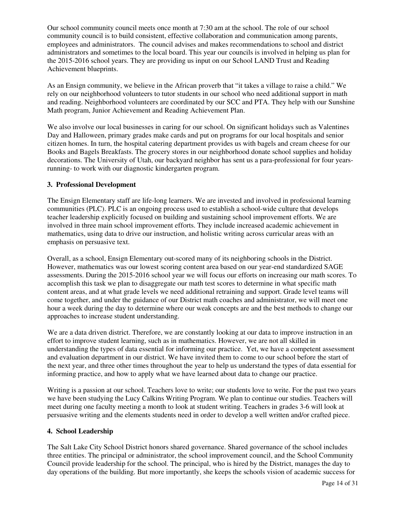Our school community council meets once month at 7:30 am at the school. The role of our school community council is to build consistent, effective collaboration and communication among parents, employees and administrators. The council advises and makes recommendations to school and district administrators and sometimes to the local board. This year our councils is involved in helping us plan for the 2015-2016 school years. They are providing us input on our School LAND Trust and Reading Achievement blueprints.

As an Ensign community, we believe in the African proverb that "it takes a village to raise a child." We rely on our neighborhood volunteers to tutor students in our school who need additional support in math and reading. Neighborhood volunteers are coordinated by our SCC and PTA. They help with our Sunshine Math program, Junior Achievement and Reading Achievement Plan.

We also involve our local businesses in caring for our school. On significant holidays such as Valentines Day and Halloween, primary grades make cards and put on programs for our local hospitals and senior citizen homes. In turn, the hospital catering department provides us with bagels and cream cheese for our Books and Bagels Breakfasts. The grocery stores in our neighborhood donate school supplies and holiday decorations. The University of Utah, our backyard neighbor has sent us a para-professional for four yearsrunning- to work with our diagnostic kindergarten program.

#### **3. Professional Development**

The Ensign Elementary staff are life-long learners. We are invested and involved in professional learning communities (PLC). PLC is an ongoing process used to establish a school-wide culture that develops teacher leadership explicitly focused on building and sustaining school improvement efforts. We are involved in three main school improvement efforts. They include increased academic achievement in mathematics, using data to drive our instruction, and holistic writing across curricular areas with an emphasis on persuasive text.

Overall, as a school, Ensign Elementary out-scored many of its neighboring schools in the District. However, mathematics was our lowest scoring content area based on our year-end standardized SAGE assessments. During the 2015-2016 school year we will focus our efforts on increasing our math scores. To accomplish this task we plan to disaggregate our math test scores to determine in what specific math content areas, and at what grade levels we need additional retraining and support. Grade level teams will come together, and under the guidance of our District math coaches and administrator, we will meet one hour a week during the day to determine where our weak concepts are and the best methods to change our approaches to increase student understanding.

We are a data driven district. Therefore, we are constantly looking at our data to improve instruction in an effort to improve student learning, such as in mathematics. However, we are not all skilled in understanding the types of data essential for informing our practice. Yet, we have a competent assessment and evaluation department in our district. We have invited them to come to our school before the start of the next year, and three other times throughout the year to help us understand the types of data essential for informing practice, and how to apply what we have learned about data to change our practice.

Writing is a passion at our school. Teachers love to write; our students love to write. For the past two years we have been studying the Lucy Calkins Writing Program. We plan to continue our studies. Teachers will meet during one faculty meeting a month to look at student writing. Teachers in grades 3-6 will look at persuasive writing and the elements students need in order to develop a well written and/or crafted piece.

# **4. School Leadership**

The Salt Lake City School District honors shared governance. Shared governance of the school includes three entities. The principal or administrator, the school improvement council, and the School Community Council provide leadership for the school. The principal, who is hired by the District, manages the day to day operations of the building. But more importantly, she keeps the schools vision of academic success for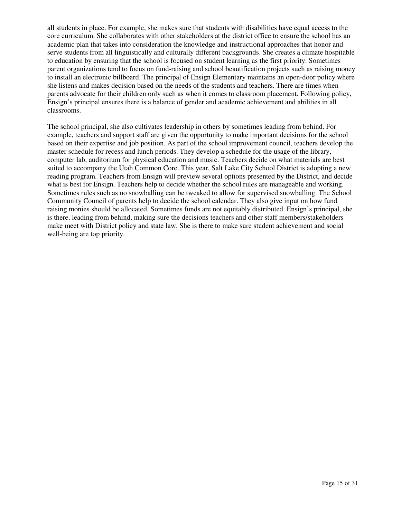all students in place. For example, she makes sure that students with disabilities have equal access to the core curriculum. She collaborates with other stakeholders at the district office to ensure the school has an academic plan that takes into consideration the knowledge and instructional approaches that honor and serve students from all linguistically and culturally different backgrounds. She creates a climate hospitable to education by ensuring that the school is focused on student learning as the first priority. Sometimes parent organizations tend to focus on fund-raising and school beautification projects such as raising money to install an electronic billboard. The principal of Ensign Elementary maintains an open-door policy where she listens and makes decision based on the needs of the students and teachers. There are times when parents advocate for their children only such as when it comes to classroom placement. Following policy, Ensign's principal ensures there is a balance of gender and academic achievement and abilities in all classrooms.

The school principal, she also cultivates leadership in others by sometimes leading from behind. For example, teachers and support staff are given the opportunity to make important decisions for the school based on their expertise and job position. As part of the school improvement council, teachers develop the master schedule for recess and lunch periods. They develop a schedule for the usage of the library, computer lab, auditorium for physical education and music. Teachers decide on what materials are best suited to accompany the Utah Common Core. This year, Salt Lake City School District is adopting a new reading program. Teachers from Ensign will preview several options presented by the District, and decide what is best for Ensign. Teachers help to decide whether the school rules are manageable and working. Sometimes rules such as no snowballing can be tweaked to allow for supervised snowballing. The School Community Council of parents help to decide the school calendar. They also give input on how fund raising monies should be allocated. Sometimes funds are not equitably distributed. Ensign's principal, she is there, leading from behind, making sure the decisions teachers and other staff members/stakeholders make meet with District policy and state law. She is there to make sure student achievement and social well-being are top priority.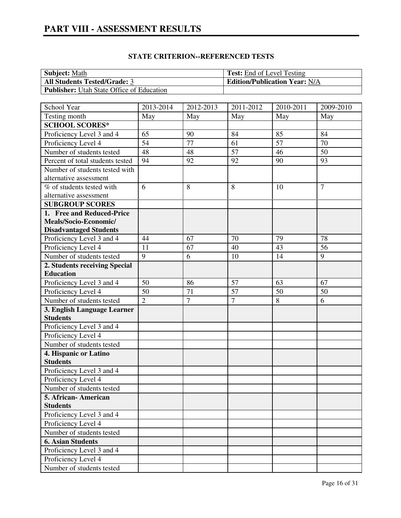| <b>Subject:</b> Math                             | <b>Test:</b> End of Level Testing    |
|--------------------------------------------------|--------------------------------------|
| <b>All Students Tested/Grade: 3</b>              | <b>Edition/Publication Year: N/A</b> |
| <b>Publisher:</b> Utah State Office of Education |                                      |

| School Year                      | 2013-2014      | $\overline{20}$ 12-2013 | 2011-2012       | 2010-2011       | 2009-2010       |
|----------------------------------|----------------|-------------------------|-----------------|-----------------|-----------------|
| Testing month                    | May            | May                     | May             | May             | May             |
| <b>SCHOOL SCORES*</b>            |                |                         |                 |                 |                 |
| Proficiency Level 3 and 4        | 65             | 90                      | 84              | 85              | 84              |
| Proficiency Level 4              | 54             | 77                      | 61              | $\overline{57}$ | 70              |
| Number of students tested        | 48             | 48                      | $\overline{57}$ | 46              | 50              |
| Percent of total students tested | 94             | 92                      | 92              | 90              | 93              |
| Number of students tested with   |                |                         |                 |                 |                 |
| alternative assessment           |                |                         |                 |                 |                 |
| % of students tested with        | 6              | 8                       | 8               | 10              | $\overline{7}$  |
| alternative assessment           |                |                         |                 |                 |                 |
| <b>SUBGROUP SCORES</b>           |                |                         |                 |                 |                 |
| 1. Free and Reduced-Price        |                |                         |                 |                 |                 |
| Meals/Socio-Economic/            |                |                         |                 |                 |                 |
| <b>Disadvantaged Students</b>    |                |                         |                 |                 |                 |
| Proficiency Level 3 and 4        | 44             | 67                      | 70              | 79              | 78              |
| Proficiency Level 4              | 11             | 67                      | 40              | 43              | $\overline{56}$ |
| Number of students tested        | 9              | 6                       | 10              | 14              | 9               |
| 2. Students receiving Special    |                |                         |                 |                 |                 |
| <b>Education</b>                 |                |                         |                 |                 |                 |
| Proficiency Level 3 and 4        | 50             | 86                      | $\overline{57}$ | 63              | 67              |
| Proficiency Level 4              | 50             | 71                      | $\overline{57}$ | 50              | 50              |
| Number of students tested        | $\overline{2}$ | $\overline{7}$          | $\overline{7}$  | 8               | 6               |
| 3. English Language Learner      |                |                         |                 |                 |                 |
| <b>Students</b>                  |                |                         |                 |                 |                 |
| Proficiency Level 3 and 4        |                |                         |                 |                 |                 |
| Proficiency Level 4              |                |                         |                 |                 |                 |
| Number of students tested        |                |                         |                 |                 |                 |
| 4. Hispanic or Latino            |                |                         |                 |                 |                 |
| <b>Students</b>                  |                |                         |                 |                 |                 |
| Proficiency Level 3 and 4        |                |                         |                 |                 |                 |
| Proficiency Level 4              |                |                         |                 |                 |                 |
| Number of students tested        |                |                         |                 |                 |                 |
| 5. African-American              |                |                         |                 |                 |                 |
| <b>Students</b>                  |                |                         |                 |                 |                 |
| Proficiency Level 3 and 4        |                |                         |                 |                 |                 |
| Proficiency Level 4              |                |                         |                 |                 |                 |
| Number of students tested        |                |                         |                 |                 |                 |
| <b>6. Asian Students</b>         |                |                         |                 |                 |                 |
| Proficiency Level 3 and 4        |                |                         |                 |                 |                 |
| Proficiency Level 4              |                |                         |                 |                 |                 |
| Number of students tested        |                |                         |                 |                 |                 |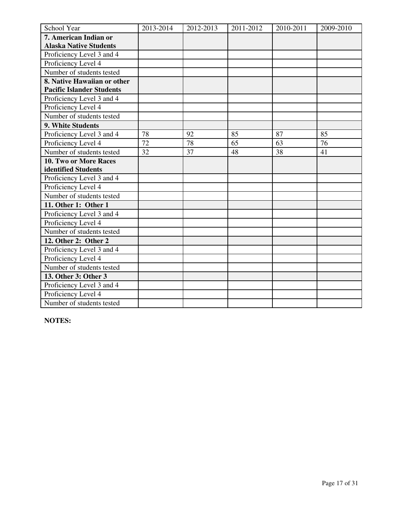| School Year                      | 2013-2014 | 2012-2013 | 2011-2012 | 2010-2011 | 2009-2010 |
|----------------------------------|-----------|-----------|-----------|-----------|-----------|
| 7. American Indian or            |           |           |           |           |           |
| <b>Alaska Native Students</b>    |           |           |           |           |           |
| Proficiency Level 3 and 4        |           |           |           |           |           |
| Proficiency Level 4              |           |           |           |           |           |
| Number of students tested        |           |           |           |           |           |
| 8. Native Hawaiian or other      |           |           |           |           |           |
| <b>Pacific Islander Students</b> |           |           |           |           |           |
| Proficiency Level 3 and 4        |           |           |           |           |           |
| Proficiency Level 4              |           |           |           |           |           |
| Number of students tested        |           |           |           |           |           |
| 9. White Students                |           |           |           |           |           |
| Proficiency Level 3 and 4        | 78        | 92        | 85        | 87        | 85        |
| Proficiency Level 4              | 72        | 78        | 65        | 63        | 76        |
| Number of students tested        | 32        | 37        | 48        | 38        | 41        |
| <b>10. Two or More Races</b>     |           |           |           |           |           |
| identified Students              |           |           |           |           |           |
| Proficiency Level 3 and 4        |           |           |           |           |           |
| Proficiency Level 4              |           |           |           |           |           |
| Number of students tested        |           |           |           |           |           |
| 11. Other 1: Other 1             |           |           |           |           |           |
| Proficiency Level 3 and 4        |           |           |           |           |           |
| Proficiency Level 4              |           |           |           |           |           |
| Number of students tested        |           |           |           |           |           |
| 12. Other 2: Other 2             |           |           |           |           |           |
| Proficiency Level 3 and 4        |           |           |           |           |           |
| Proficiency Level 4              |           |           |           |           |           |
| Number of students tested        |           |           |           |           |           |
| 13. Other 3: Other 3             |           |           |           |           |           |
| Proficiency Level 3 and 4        |           |           |           |           |           |
| Proficiency Level 4              |           |           |           |           |           |
| Number of students tested        |           |           |           |           |           |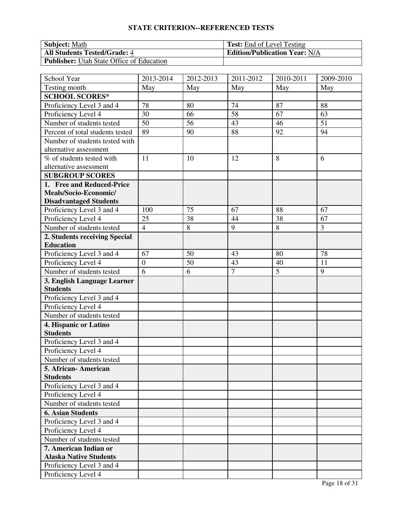| <b>Subject:</b> Math                             | <b>Test:</b> End of Level Testing    |
|--------------------------------------------------|--------------------------------------|
| <b>All Students Tested/Grade: 4</b>              | <b>Edition/Publication Year: N/A</b> |
| <b>Publisher:</b> Utah State Office of Education |                                      |

| School Year                      | 2013-2014        | $\overline{20}$ 12-2013 | 2011-2012      | 2010-2011      | 2009-2010 |
|----------------------------------|------------------|-------------------------|----------------|----------------|-----------|
| Testing month                    | May              | May                     | May            | May            | May       |
| <b>SCHOOL SCORES*</b>            |                  |                         |                |                |           |
| Proficiency Level 3 and 4        | 78               | 80                      | 74             | 87             | 88        |
| Proficiency Level 4              | 30               | 66                      | 58             | 67             | 63        |
| Number of students tested        | 50               | 56                      | 43             | 46             | 51        |
| Percent of total students tested | 89               | 90                      | 88             | 92             | 94        |
| Number of students tested with   |                  |                         |                |                |           |
| alternative assessment           |                  |                         |                |                |           |
| % of students tested with        | 11               | 10                      | 12             | 8              | 6         |
| alternative assessment           |                  |                         |                |                |           |
| <b>SUBGROUP SCORES</b>           |                  |                         |                |                |           |
| 1. Free and Reduced-Price        |                  |                         |                |                |           |
| Meals/Socio-Economic/            |                  |                         |                |                |           |
| <b>Disadvantaged Students</b>    |                  |                         |                |                |           |
| Proficiency Level 3 and 4        | 100              | 75                      | 67             | 88             | 67        |
| Proficiency Level 4              | 25               | 38                      | 44             | 38             | 67        |
| Number of students tested        | $\overline{4}$   | 8                       | 9              | 8              | 3         |
| 2. Students receiving Special    |                  |                         |                |                |           |
| <b>Education</b>                 |                  |                         |                |                |           |
| Proficiency Level 3 and 4        | 67               | $\overline{50}$         | 43             | 80             | 78        |
| Proficiency Level 4              | $\boldsymbol{0}$ | 50                      | 43             | 40             | 11        |
| Number of students tested        | 6                | 6                       | $\overline{7}$ | $\overline{5}$ | 9         |
| 3. English Language Learner      |                  |                         |                |                |           |
| <b>Students</b>                  |                  |                         |                |                |           |
| Proficiency Level 3 and 4        |                  |                         |                |                |           |
| Proficiency Level 4              |                  |                         |                |                |           |
| Number of students tested        |                  |                         |                |                |           |
| 4. Hispanic or Latino            |                  |                         |                |                |           |
| <b>Students</b>                  |                  |                         |                |                |           |
| Proficiency Level 3 and 4        |                  |                         |                |                |           |
| Proficiency Level 4              |                  |                         |                |                |           |
| Number of students tested        |                  |                         |                |                |           |
| 5. African-American              |                  |                         |                |                |           |
| <b>Students</b>                  |                  |                         |                |                |           |
| Proficiency Level 3 and 4        |                  |                         |                |                |           |
| Proficiency Level 4              |                  |                         |                |                |           |
| Number of students tested        |                  |                         |                |                |           |
| <b>6. Asian Students</b>         |                  |                         |                |                |           |
| Proficiency Level 3 and 4        |                  |                         |                |                |           |
| Proficiency Level 4              |                  |                         |                |                |           |
| Number of students tested        |                  |                         |                |                |           |
| 7. American Indian or            |                  |                         |                |                |           |
| <b>Alaska Native Students</b>    |                  |                         |                |                |           |
| Proficiency Level 3 and 4        |                  |                         |                |                |           |
| Proficiency Level 4              |                  |                         |                |                |           |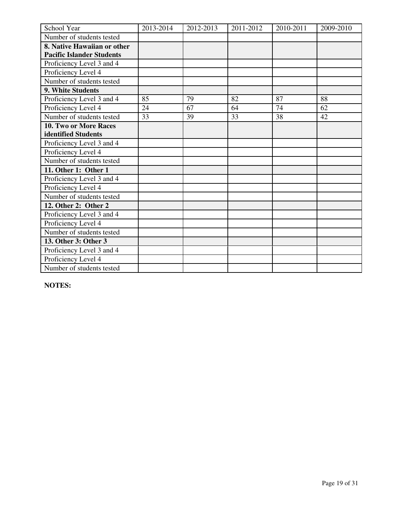| School Year                      | 2013-2014 | 2012-2013 | 2011-2012 | 2010-2011 | 2009-2010 |
|----------------------------------|-----------|-----------|-----------|-----------|-----------|
| Number of students tested        |           |           |           |           |           |
| 8. Native Hawaiian or other      |           |           |           |           |           |
| <b>Pacific Islander Students</b> |           |           |           |           |           |
| Proficiency Level 3 and 4        |           |           |           |           |           |
| Proficiency Level 4              |           |           |           |           |           |
| Number of students tested        |           |           |           |           |           |
| 9. White Students                |           |           |           |           |           |
| Proficiency Level 3 and 4        | 85        | 79        | 82        | 87        | 88        |
| Proficiency Level 4              | 24        | 67        | 64        | 74        | 62        |
| Number of students tested        | 33        | 39        | 33        | 38        | 42        |
| <b>10. Two or More Races</b>     |           |           |           |           |           |
| identified Students              |           |           |           |           |           |
| Proficiency Level 3 and 4        |           |           |           |           |           |
| Proficiency Level 4              |           |           |           |           |           |
| Number of students tested        |           |           |           |           |           |
| 11. Other 1: Other 1             |           |           |           |           |           |
| Proficiency Level 3 and 4        |           |           |           |           |           |
| Proficiency Level 4              |           |           |           |           |           |
| Number of students tested        |           |           |           |           |           |
| 12. Other 2: Other 2             |           |           |           |           |           |
| Proficiency Level 3 and 4        |           |           |           |           |           |
| Proficiency Level 4              |           |           |           |           |           |
| Number of students tested        |           |           |           |           |           |
| 13. Other 3: Other 3             |           |           |           |           |           |
| Proficiency Level 3 and 4        |           |           |           |           |           |
| Proficiency Level 4              |           |           |           |           |           |
| Number of students tested        |           |           |           |           |           |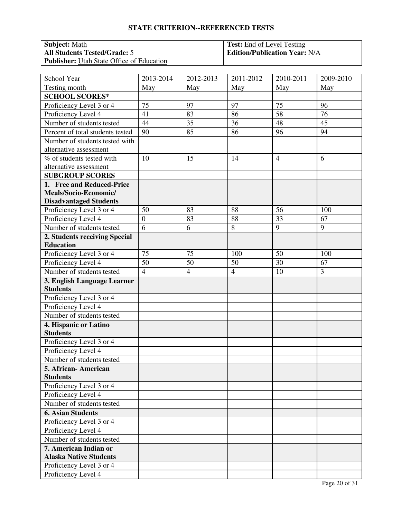| <b>Subject:</b> Math                             | <b>Test:</b> End of Level Testing    |
|--------------------------------------------------|--------------------------------------|
| <b>All Students Tested/Grade: 5</b>              | <b>Edition/Publication Year: N/A</b> |
| <b>Publisher:</b> Utah State Office of Education |                                      |

| School Year                      | 2013-2014      | $\overline{20}$ 12-2013 | 2011-2012      | 2010-2011      | 2009-2010 |
|----------------------------------|----------------|-------------------------|----------------|----------------|-----------|
| Testing month                    | May            | May                     | May            | May            | May       |
| <b>SCHOOL SCORES*</b>            |                |                         |                |                |           |
| Proficiency Level 3 or 4         | 75             | 97                      | 97             | 75             | 96        |
| Proficiency Level 4              | 41             | 83                      | 86             | 58             | 76        |
| Number of students tested        | 44             | 35                      | 36             | 48             | 45        |
| Percent of total students tested | 90             | 85                      | 86             | 96             | 94        |
| Number of students tested with   |                |                         |                |                |           |
| alternative assessment           |                |                         |                |                |           |
| % of students tested with        | 10             | 15                      | 14             | $\overline{4}$ | 6         |
| alternative assessment           |                |                         |                |                |           |
| <b>SUBGROUP SCORES</b>           |                |                         |                |                |           |
| 1. Free and Reduced-Price        |                |                         |                |                |           |
| Meals/Socio-Economic/            |                |                         |                |                |           |
| <b>Disadvantaged Students</b>    |                |                         |                |                |           |
| Proficiency Level 3 or 4         | 50             | 83                      | 88             | 56             | 100       |
| Proficiency Level 4              | $\overline{0}$ | 83                      | 88             | 33             | 67        |
| Number of students tested        | 6              | 6                       | 8              | 9              | 9         |
| 2. Students receiving Special    |                |                         |                |                |           |
| <b>Education</b>                 |                |                         |                |                |           |
| Proficiency Level 3 or 4         | 75             | 75                      | 100            | 50             | 100       |
| Proficiency Level 4              | 50             | 50                      | 50             | 30             | 67        |
| Number of students tested        | $\overline{4}$ | $\overline{4}$          | $\overline{4}$ | 10             | 3         |
| 3. English Language Learner      |                |                         |                |                |           |
| <b>Students</b>                  |                |                         |                |                |           |
| Proficiency Level 3 or 4         |                |                         |                |                |           |
| Proficiency Level 4              |                |                         |                |                |           |
| Number of students tested        |                |                         |                |                |           |
| 4. Hispanic or Latino            |                |                         |                |                |           |
| <b>Students</b>                  |                |                         |                |                |           |
| Proficiency Level 3 or 4         |                |                         |                |                |           |
| Proficiency Level 4              |                |                         |                |                |           |
| Number of students tested        |                |                         |                |                |           |
| 5. African-American              |                |                         |                |                |           |
| <b>Students</b>                  |                |                         |                |                |           |
| Proficiency Level 3 or 4         |                |                         |                |                |           |
| Proficiency Level 4              |                |                         |                |                |           |
| Number of students tested        |                |                         |                |                |           |
| <b>6. Asian Students</b>         |                |                         |                |                |           |
| Proficiency Level 3 or 4         |                |                         |                |                |           |
| Proficiency Level 4              |                |                         |                |                |           |
| Number of students tested        |                |                         |                |                |           |
| 7. American Indian or            |                |                         |                |                |           |
| <b>Alaska Native Students</b>    |                |                         |                |                |           |
| Proficiency Level 3 or 4         |                |                         |                |                |           |
| Proficiency Level 4              |                |                         |                |                |           |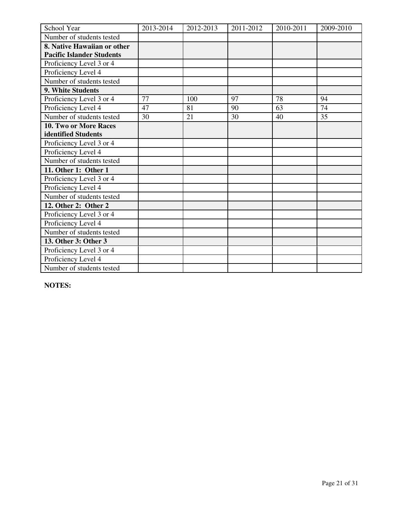| School Year                      | 2013-2014 | 2012-2013 | 2011-2012 | 2010-2011 | 2009-2010 |
|----------------------------------|-----------|-----------|-----------|-----------|-----------|
| Number of students tested        |           |           |           |           |           |
| 8. Native Hawaiian or other      |           |           |           |           |           |
| <b>Pacific Islander Students</b> |           |           |           |           |           |
| Proficiency Level 3 or 4         |           |           |           |           |           |
| Proficiency Level 4              |           |           |           |           |           |
| Number of students tested        |           |           |           |           |           |
| 9. White Students                |           |           |           |           |           |
| Proficiency Level 3 or 4         | 77        | 100       | 97        | 78        | 94        |
| Proficiency Level 4              | 47        | 81        | 90        | 63        | 74        |
| Number of students tested        | 30        | 21        | 30        | 40        | 35        |
| <b>10. Two or More Races</b>     |           |           |           |           |           |
| identified Students              |           |           |           |           |           |
| Proficiency Level 3 or 4         |           |           |           |           |           |
| Proficiency Level 4              |           |           |           |           |           |
| Number of students tested        |           |           |           |           |           |
| 11. Other 1: Other 1             |           |           |           |           |           |
| Proficiency Level 3 or 4         |           |           |           |           |           |
| Proficiency Level 4              |           |           |           |           |           |
| Number of students tested        |           |           |           |           |           |
| 12. Other 2: Other 2             |           |           |           |           |           |
| Proficiency Level 3 or 4         |           |           |           |           |           |
| Proficiency Level 4              |           |           |           |           |           |
| Number of students tested        |           |           |           |           |           |
| 13. Other 3: Other 3             |           |           |           |           |           |
| Proficiency Level 3 or 4         |           |           |           |           |           |
| Proficiency Level 4              |           |           |           |           |           |
| Number of students tested        |           |           |           |           |           |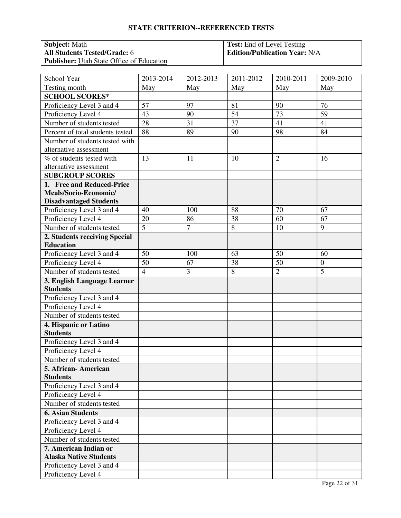| <b>Subject:</b> Math                             | <b>Test:</b> End of Level Testing    |
|--------------------------------------------------|--------------------------------------|
| <b>All Students Tested/Grade: 6</b>              | <b>Edition/Publication Year: N/A</b> |
| <b>Publisher:</b> Utah State Office of Education |                                      |

| School Year                      | 2013-2014      | $\overline{20}$ 12-2013 | 2011-2012       | 2010-2011      | 2009-2010        |
|----------------------------------|----------------|-------------------------|-----------------|----------------|------------------|
| Testing month                    | May            | May                     | May             | May            | May              |
| <b>SCHOOL SCORES*</b>            |                |                         |                 |                |                  |
| Proficiency Level 3 and 4        | 57             | 97                      | 81              | 90             | 76               |
| Proficiency Level 4              | 43             | 90                      | 54              | 73             | 59               |
| Number of students tested        | 28             | 31                      | $\overline{37}$ | 41             | 41               |
| Percent of total students tested | 88             | 89                      | 90              | 98             | 84               |
| Number of students tested with   |                |                         |                 |                |                  |
| alternative assessment           |                |                         |                 |                |                  |
| % of students tested with        | 13             | 11                      | 10              | $\overline{2}$ | 16               |
| alternative assessment           |                |                         |                 |                |                  |
| <b>SUBGROUP SCORES</b>           |                |                         |                 |                |                  |
| 1. Free and Reduced-Price        |                |                         |                 |                |                  |
| Meals/Socio-Economic/            |                |                         |                 |                |                  |
| <b>Disadvantaged Students</b>    |                |                         |                 |                |                  |
| Proficiency Level 3 and 4        | 40             | 100                     | 88              | 70             | 67               |
| Proficiency Level 4              | 20             | 86                      | 38              | 60             | 67               |
| Number of students tested        | $\overline{5}$ | $\overline{7}$          | 8               | 10             | 9                |
| 2. Students receiving Special    |                |                         |                 |                |                  |
| <b>Education</b>                 |                |                         |                 |                |                  |
| Proficiency Level 3 and 4        | 50             | 100                     | 63              | 50             | 60               |
| Proficiency Level 4              | 50             | 67                      | 38              | 50             | $\boldsymbol{0}$ |
| Number of students tested        | $\overline{4}$ | 3                       | 8               | $\overline{2}$ | 5                |
| 3. English Language Learner      |                |                         |                 |                |                  |
| <b>Students</b>                  |                |                         |                 |                |                  |
| Proficiency Level 3 and 4        |                |                         |                 |                |                  |
| Proficiency Level 4              |                |                         |                 |                |                  |
| Number of students tested        |                |                         |                 |                |                  |
| 4. Hispanic or Latino            |                |                         |                 |                |                  |
| <b>Students</b>                  |                |                         |                 |                |                  |
| Proficiency Level 3 and 4        |                |                         |                 |                |                  |
| Proficiency Level 4              |                |                         |                 |                |                  |
| Number of students tested        |                |                         |                 |                |                  |
| 5. African-American              |                |                         |                 |                |                  |
| <b>Students</b>                  |                |                         |                 |                |                  |
| Proficiency Level 3 and 4        |                |                         |                 |                |                  |
| Proficiency Level 4              |                |                         |                 |                |                  |
| Number of students tested        |                |                         |                 |                |                  |
| <b>6. Asian Students</b>         |                |                         |                 |                |                  |
| Proficiency Level 3 and 4        |                |                         |                 |                |                  |
| Proficiency Level 4              |                |                         |                 |                |                  |
| Number of students tested        |                |                         |                 |                |                  |
| 7. American Indian or            |                |                         |                 |                |                  |
| <b>Alaska Native Students</b>    |                |                         |                 |                |                  |
| Proficiency Level 3 and 4        |                |                         |                 |                |                  |
| Proficiency Level 4              |                |                         |                 |                |                  |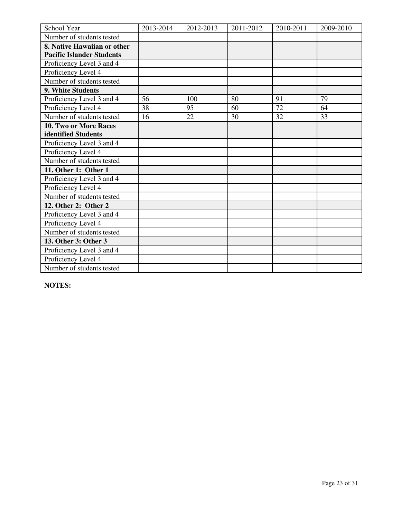| School Year                      | 2013-2014 | 2012-2013 | 2011-2012 | 2010-2011 | 2009-2010 |
|----------------------------------|-----------|-----------|-----------|-----------|-----------|
| Number of students tested        |           |           |           |           |           |
| 8. Native Hawaiian or other      |           |           |           |           |           |
| <b>Pacific Islander Students</b> |           |           |           |           |           |
| Proficiency Level 3 and 4        |           |           |           |           |           |
| Proficiency Level 4              |           |           |           |           |           |
| Number of students tested        |           |           |           |           |           |
| 9. White Students                |           |           |           |           |           |
| Proficiency Level 3 and 4        | 56        | 100       | 80        | 91        | 79        |
| Proficiency Level 4              | 38        | 95        | 60        | 72        | 64        |
| Number of students tested        | 16        | 22        | 30        | 32        | 33        |
| <b>10. Two or More Races</b>     |           |           |           |           |           |
| identified Students              |           |           |           |           |           |
| Proficiency Level 3 and 4        |           |           |           |           |           |
| Proficiency Level 4              |           |           |           |           |           |
| Number of students tested        |           |           |           |           |           |
| 11. Other 1: Other 1             |           |           |           |           |           |
| Proficiency Level 3 and 4        |           |           |           |           |           |
| Proficiency Level 4              |           |           |           |           |           |
| Number of students tested        |           |           |           |           |           |
| 12. Other 2: Other 2             |           |           |           |           |           |
| Proficiency Level 3 and 4        |           |           |           |           |           |
| Proficiency Level 4              |           |           |           |           |           |
| Number of students tested        |           |           |           |           |           |
| 13. Other 3: Other 3             |           |           |           |           |           |
| Proficiency Level 3 and 4        |           |           |           |           |           |
| Proficiency Level 4              |           |           |           |           |           |
| Number of students tested        |           |           |           |           |           |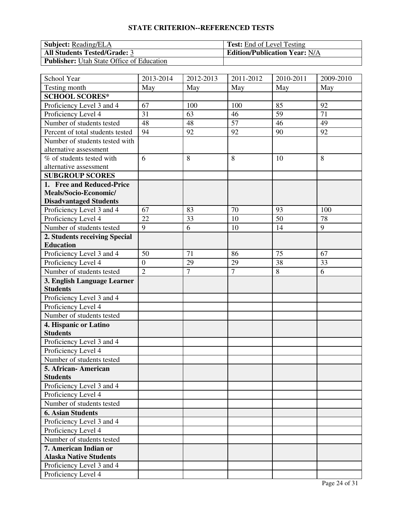| <b>Subject:</b> Reading/ELA                      | <b>Test:</b> End of Level Testing    |
|--------------------------------------------------|--------------------------------------|
| <b>All Students Tested/Grade: 3</b>              | <b>Edition/Publication Year: N/A</b> |
| <b>Publisher:</b> Utah State Office of Education |                                      |

| School Year                             | 2013-2014        | 2012-2013      | $\overline{20}11 - 2012$ | 2010-2011 | 2009-2010 |
|-----------------------------------------|------------------|----------------|--------------------------|-----------|-----------|
| Testing month                           | May              | May            | May                      | May       | May       |
| <b>SCHOOL SCORES*</b>                   |                  |                |                          |           |           |
| Proficiency Level 3 and 4               | 67               | 100            | 100                      | 85        | 92        |
| Proficiency Level 4                     | 31               | 63             | 46                       | 59        | 71        |
| Number of students tested               | 48               | 48             | $\overline{57}$          | 46        | 49        |
| Percent of total students tested        | 94               | 92             | 92                       | 90        | 92        |
| Number of students tested with          |                  |                |                          |           |           |
| alternative assessment                  |                  |                |                          |           |           |
| % of students tested with               | 6                | 8              | 8                        | 10        | 8         |
| alternative assessment                  |                  |                |                          |           |           |
| <b>SUBGROUP SCORES</b>                  |                  |                |                          |           |           |
| 1. Free and Reduced-Price               |                  |                |                          |           |           |
| Meals/Socio-Economic/                   |                  |                |                          |           |           |
| <b>Disadvantaged Students</b>           |                  |                |                          |           |           |
| Proficiency Level 3 and 4               | 67               | 83             | 70                       | 93        | 100       |
| Proficiency Level 4                     | 22               | 33             | 10                       | 50        | 78        |
| Number of students tested               | 9                | 6              | 10                       | 14        | 9         |
| 2. Students receiving Special           |                  |                |                          |           |           |
| <b>Education</b>                        |                  |                |                          |           |           |
| Proficiency Level 3 and 4               | 50               | 71             | 86                       | 75        | 67        |
| Proficiency Level 4                     | $\boldsymbol{0}$ | 29             | 29                       | 38        | 33        |
| Number of students tested               | $\overline{2}$   | $\overline{7}$ | $\overline{7}$           | 8         | 6         |
| 3. English Language Learner             |                  |                |                          |           |           |
| <b>Students</b>                         |                  |                |                          |           |           |
| Proficiency Level 3 and 4               |                  |                |                          |           |           |
| Proficiency Level 4                     |                  |                |                          |           |           |
| Number of students tested               |                  |                |                          |           |           |
| 4. Hispanic or Latino                   |                  |                |                          |           |           |
| <b>Students</b>                         |                  |                |                          |           |           |
| Proficiency Level 3 and 4               |                  |                |                          |           |           |
| Proficiency Level 4                     |                  |                |                          |           |           |
| Number of students tested               |                  |                |                          |           |           |
| 5. African- American<br><b>Students</b> |                  |                |                          |           |           |
| Proficiency Level 3 and 4               |                  |                |                          |           |           |
| Proficiency Level 4                     |                  |                |                          |           |           |
| Number of students tested               |                  |                |                          |           |           |
| <b>6. Asian Students</b>                |                  |                |                          |           |           |
| Proficiency Level 3 and 4               |                  |                |                          |           |           |
| Proficiency Level 4                     |                  |                |                          |           |           |
| Number of students tested               |                  |                |                          |           |           |
| 7. American Indian or                   |                  |                |                          |           |           |
| <b>Alaska Native Students</b>           |                  |                |                          |           |           |
| Proficiency Level 3 and 4               |                  |                |                          |           |           |
| Proficiency Level 4                     |                  |                |                          |           |           |
|                                         |                  |                |                          |           |           |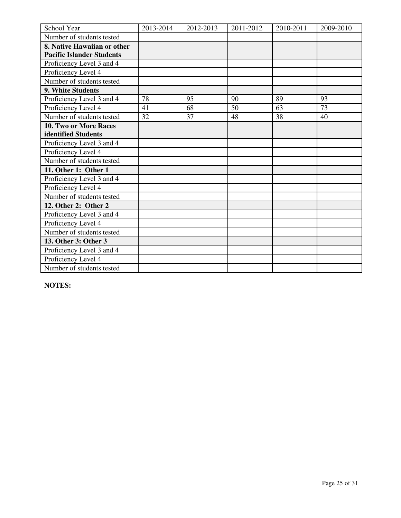| School Year                      | 2013-2014 | 2012-2013 | 2011-2012 | 2010-2011 | 2009-2010 |
|----------------------------------|-----------|-----------|-----------|-----------|-----------|
| Number of students tested        |           |           |           |           |           |
| 8. Native Hawaiian or other      |           |           |           |           |           |
| <b>Pacific Islander Students</b> |           |           |           |           |           |
| Proficiency Level 3 and 4        |           |           |           |           |           |
| Proficiency Level 4              |           |           |           |           |           |
| Number of students tested        |           |           |           |           |           |
| 9. White Students                |           |           |           |           |           |
| Proficiency Level 3 and 4        | 78        | 95        | 90        | 89        | 93        |
| Proficiency Level 4              | 41        | 68        | 50        | 63        | 73        |
| Number of students tested        | 32        | 37        | 48        | 38        | 40        |
| <b>10. Two or More Races</b>     |           |           |           |           |           |
| identified Students              |           |           |           |           |           |
| Proficiency Level 3 and 4        |           |           |           |           |           |
| Proficiency Level 4              |           |           |           |           |           |
| Number of students tested        |           |           |           |           |           |
| 11. Other 1: Other 1             |           |           |           |           |           |
| Proficiency Level 3 and 4        |           |           |           |           |           |
| Proficiency Level 4              |           |           |           |           |           |
| Number of students tested        |           |           |           |           |           |
| 12. Other 2: Other 2             |           |           |           |           |           |
| Proficiency Level 3 and 4        |           |           |           |           |           |
| Proficiency Level 4              |           |           |           |           |           |
| Number of students tested        |           |           |           |           |           |
| 13. Other 3: Other 3             |           |           |           |           |           |
| Proficiency Level 3 and 4        |           |           |           |           |           |
| Proficiency Level 4              |           |           |           |           |           |
| Number of students tested        |           |           |           |           |           |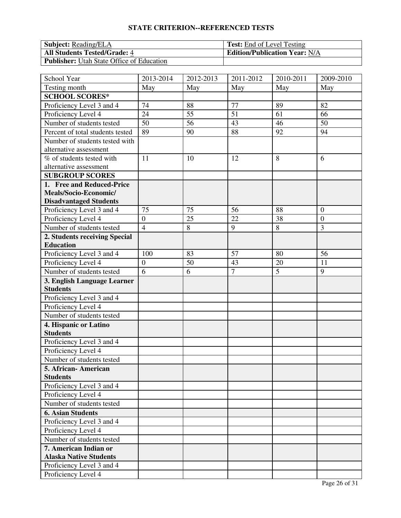| <b>Subject:</b> Reading/ELA                      | <b>Test:</b> End of Level Testing    |
|--------------------------------------------------|--------------------------------------|
| <b>All Students Tested/Grade: 4</b>              | <b>Edition/Publication Year: N/A</b> |
| <b>Publisher:</b> Utah State Office of Education |                                      |

| School Year                      | 2013-2014        | $\overline{20}$ 12-2013 | 2011-2012      | 2010-2011      | 2009-2010        |
|----------------------------------|------------------|-------------------------|----------------|----------------|------------------|
| Testing month                    | May              | May                     | May            | May            | May              |
| <b>SCHOOL SCORES*</b>            |                  |                         |                |                |                  |
| Proficiency Level 3 and 4        | 74               | 88                      | 77             | 89             | 82               |
| Proficiency Level 4              | 24               | 55                      | 51             | 61             | 66               |
| Number of students tested        | 50               | 56                      | 43             | 46             | 50               |
| Percent of total students tested | 89               | 90                      | 88             | 92             | 94               |
| Number of students tested with   |                  |                         |                |                |                  |
| alternative assessment           |                  |                         |                |                |                  |
| % of students tested with        | 11               | 10                      | 12             | 8              | 6                |
| alternative assessment           |                  |                         |                |                |                  |
| <b>SUBGROUP SCORES</b>           |                  |                         |                |                |                  |
| 1. Free and Reduced-Price        |                  |                         |                |                |                  |
| Meals/Socio-Economic/            |                  |                         |                |                |                  |
| <b>Disadvantaged Students</b>    |                  |                         |                |                |                  |
| Proficiency Level 3 and 4        | 75               | 75                      | 56             | 88             | $\overline{0}$   |
| Proficiency Level 4              | $\overline{0}$   | 25                      | 22             | 38             | $\boldsymbol{0}$ |
| Number of students tested        | $\overline{4}$   | 8                       | 9              | 8              | 3                |
| 2. Students receiving Special    |                  |                         |                |                |                  |
| <b>Education</b>                 |                  |                         |                |                |                  |
| Proficiency Level 3 and 4        | 100              | 83                      | 57             | 80             | 56               |
| Proficiency Level 4              | $\boldsymbol{0}$ | 50                      | 43             | 20             | 11               |
| Number of students tested        | 6                | 6                       | $\overline{7}$ | $\overline{5}$ | 9                |
| 3. English Language Learner      |                  |                         |                |                |                  |
| <b>Students</b>                  |                  |                         |                |                |                  |
| Proficiency Level 3 and 4        |                  |                         |                |                |                  |
| Proficiency Level 4              |                  |                         |                |                |                  |
| Number of students tested        |                  |                         |                |                |                  |
| 4. Hispanic or Latino            |                  |                         |                |                |                  |
| <b>Students</b>                  |                  |                         |                |                |                  |
| Proficiency Level 3 and 4        |                  |                         |                |                |                  |
| Proficiency Level 4              |                  |                         |                |                |                  |
| Number of students tested        |                  |                         |                |                |                  |
| 5. African-American              |                  |                         |                |                |                  |
| <b>Students</b>                  |                  |                         |                |                |                  |
| Proficiency Level 3 and 4        |                  |                         |                |                |                  |
| Proficiency Level 4              |                  |                         |                |                |                  |
| Number of students tested        |                  |                         |                |                |                  |
| <b>6. Asian Students</b>         |                  |                         |                |                |                  |
| Proficiency Level 3 and 4        |                  |                         |                |                |                  |
| Proficiency Level 4              |                  |                         |                |                |                  |
| Number of students tested        |                  |                         |                |                |                  |
| 7. American Indian or            |                  |                         |                |                |                  |
| <b>Alaska Native Students</b>    |                  |                         |                |                |                  |
| Proficiency Level 3 and 4        |                  |                         |                |                |                  |
| Proficiency Level 4              |                  |                         |                |                |                  |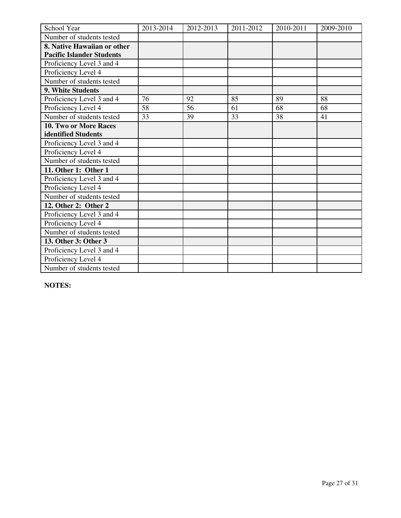| School Year                      | 2013-2014 | 2012-2013 | 2011-2012 | 2010-2011 | 2009-2010 |
|----------------------------------|-----------|-----------|-----------|-----------|-----------|
| Number of students tested        |           |           |           |           |           |
| 8. Native Hawaiian or other      |           |           |           |           |           |
| <b>Pacific Islander Students</b> |           |           |           |           |           |
| Proficiency Level 3 and 4        |           |           |           |           |           |
| Proficiency Level 4              |           |           |           |           |           |
| Number of students tested        |           |           |           |           |           |
| 9. White Students                |           |           |           |           |           |
| Proficiency Level 3 and 4        | 76        | 92        | 85        | 89        | 88        |
| Proficiency Level 4              | 58        | 56        | 61        | 68        | 68        |
| Number of students tested        | 33        | 39        | 33        | 38        | 41        |
| <b>10. Two or More Races</b>     |           |           |           |           |           |
| identified Students              |           |           |           |           |           |
| Proficiency Level 3 and 4        |           |           |           |           |           |
| Proficiency Level 4              |           |           |           |           |           |
| Number of students tested        |           |           |           |           |           |
| 11. Other 1: Other 1             |           |           |           |           |           |
| Proficiency Level 3 and 4        |           |           |           |           |           |
| Proficiency Level 4              |           |           |           |           |           |
| Number of students tested        |           |           |           |           |           |
| 12. Other 2: Other 2             |           |           |           |           |           |
| Proficiency Level 3 and 4        |           |           |           |           |           |
| Proficiency Level 4              |           |           |           |           |           |
| Number of students tested        |           |           |           |           |           |
| 13. Other 3: Other 3             |           |           |           |           |           |
| Proficiency Level 3 and 4        |           |           |           |           |           |
| Proficiency Level 4              |           |           |           |           |           |
| Number of students tested        |           |           |           |           |           |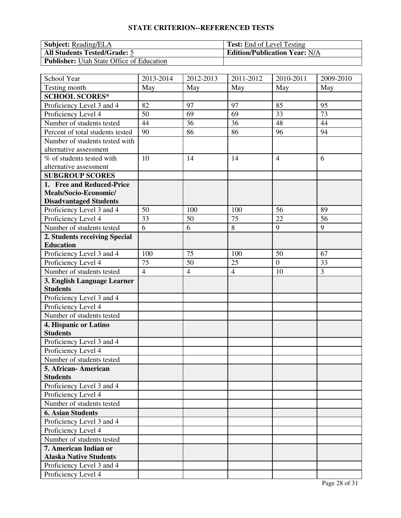| <b>Subject:</b> Reading/ELA                      | <b>Test:</b> End of Level Testing    |
|--------------------------------------------------|--------------------------------------|
| <b>All Students Tested/Grade: 5</b>              | <b>Edition/Publication Year: N/A</b> |
| <b>Publisher:</b> Utah State Office of Education |                                      |

| School Year                      | 2013-2014      | 2012-2013      | $\overline{20}11 - 2012$ | 2010-2011      | 2009-2010      |
|----------------------------------|----------------|----------------|--------------------------|----------------|----------------|
| Testing month                    | May            | May            | May                      | May            | May            |
| <b>SCHOOL SCORES*</b>            |                |                |                          |                |                |
| Proficiency Level 3 and 4        | 82             | 97             | 97                       | 85             | 95             |
| Proficiency Level 4              | 50             | 69             | 69                       | 33             | 73             |
| Number of students tested        | 44             | 36             | 36                       | 48             | 44             |
| Percent of total students tested | 90             | 86             | 86                       | 96             | 94             |
| Number of students tested with   |                |                |                          |                |                |
| alternative assessment           |                |                |                          |                |                |
| % of students tested with        | 10             | 14             | 14                       | $\overline{4}$ | 6              |
| alternative assessment           |                |                |                          |                |                |
| <b>SUBGROUP SCORES</b>           |                |                |                          |                |                |
| 1. Free and Reduced-Price        |                |                |                          |                |                |
| Meals/Socio-Economic/            |                |                |                          |                |                |
| <b>Disadvantaged Students</b>    |                |                |                          |                |                |
| Proficiency Level 3 and 4        | 50             | 100            | 100                      | 56             | 89             |
| Proficiency Level 4              | 33             | 50             | 75                       | 22             | 56             |
| Number of students tested        | 6              | 6              | 8                        | 9              | 9              |
| 2. Students receiving Special    |                |                |                          |                |                |
| <b>Education</b>                 |                |                |                          |                |                |
| Proficiency Level 3 and 4        | 100            | 75             | 100                      | 50             | 67             |
| Proficiency Level 4              | 75             | 50             | 25                       | $\mathbf{0}$   | 33             |
| Number of students tested        | $\overline{4}$ | $\overline{4}$ | $\overline{4}$           | 10             | $\overline{3}$ |
| 3. English Language Learner      |                |                |                          |                |                |
| <b>Students</b>                  |                |                |                          |                |                |
| Proficiency Level 3 and 4        |                |                |                          |                |                |
| Proficiency Level 4              |                |                |                          |                |                |
| Number of students tested        |                |                |                          |                |                |
| 4. Hispanic or Latino            |                |                |                          |                |                |
| <b>Students</b>                  |                |                |                          |                |                |
| Proficiency Level 3 and 4        |                |                |                          |                |                |
| Proficiency Level 4              |                |                |                          |                |                |
| Number of students tested        |                |                |                          |                |                |
| 5. African- American             |                |                |                          |                |                |
| <b>Students</b>                  |                |                |                          |                |                |
| Proficiency Level 3 and 4        |                |                |                          |                |                |
| Proficiency Level 4              |                |                |                          |                |                |
| Number of students tested        |                |                |                          |                |                |
| <b>6. Asian Students</b>         |                |                |                          |                |                |
| Proficiency Level 3 and 4        |                |                |                          |                |                |
| Proficiency Level 4              |                |                |                          |                |                |
| Number of students tested        |                |                |                          |                |                |
| 7. American Indian or            |                |                |                          |                |                |
| <b>Alaska Native Students</b>    |                |                |                          |                |                |
| Proficiency Level 3 and 4        |                |                |                          |                |                |
| Proficiency Level 4              |                |                |                          |                |                |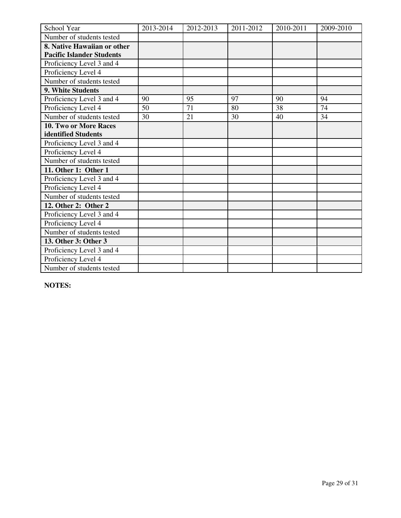| School Year                      | 2013-2014 | 2012-2013 | 2011-2012 | 2010-2011 | 2009-2010 |
|----------------------------------|-----------|-----------|-----------|-----------|-----------|
| Number of students tested        |           |           |           |           |           |
| 8. Native Hawaiian or other      |           |           |           |           |           |
| <b>Pacific Islander Students</b> |           |           |           |           |           |
| Proficiency Level 3 and 4        |           |           |           |           |           |
| Proficiency Level 4              |           |           |           |           |           |
| Number of students tested        |           |           |           |           |           |
| 9. White Students                |           |           |           |           |           |
| Proficiency Level 3 and 4        | 90        | 95        | 97        | 90        | 94        |
| Proficiency Level 4              | 50        | 71        | 80        | 38        | 74        |
| Number of students tested        | 30        | 21        | 30        | 40        | 34        |
| <b>10. Two or More Races</b>     |           |           |           |           |           |
| identified Students              |           |           |           |           |           |
| Proficiency Level 3 and 4        |           |           |           |           |           |
| Proficiency Level 4              |           |           |           |           |           |
| Number of students tested        |           |           |           |           |           |
| 11. Other 1: Other 1             |           |           |           |           |           |
| Proficiency Level 3 and 4        |           |           |           |           |           |
| Proficiency Level 4              |           |           |           |           |           |
| Number of students tested        |           |           |           |           |           |
| 12. Other 2: Other 2             |           |           |           |           |           |
| Proficiency Level 3 and 4        |           |           |           |           |           |
| Proficiency Level 4              |           |           |           |           |           |
| Number of students tested        |           |           |           |           |           |
| 13. Other 3: Other 3             |           |           |           |           |           |
| Proficiency Level 3 and 4        |           |           |           |           |           |
| Proficiency Level 4              |           |           |           |           |           |
| Number of students tested        |           |           |           |           |           |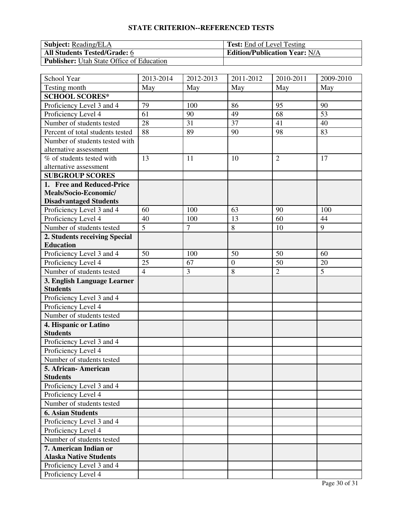| <b>Subject:</b> Reading/ELA                      | <b>Test:</b> End of Level Testing    |
|--------------------------------------------------|--------------------------------------|
| <b>All Students Tested/Grade: 6</b>              | <b>Edition/Publication Year: N/A</b> |
| <b>Publisher:</b> Utah State Office of Education |                                      |

| School Year                      | 2013-2014      | 2012-2013      | 2011-2012        | 2010-2011      | 2009-2010 |
|----------------------------------|----------------|----------------|------------------|----------------|-----------|
| Testing month                    | May            | May            | May              | May            | May       |
| <b>SCHOOL SCORES*</b>            |                |                |                  |                |           |
| Proficiency Level 3 and 4        | 79             | 100            | 86               | 95             | 90        |
| Proficiency Level 4              | 61             | 90             | 49               | 68             | 53        |
| Number of students tested        | 28             | 31             | $\overline{37}$  | 41             | 40        |
| Percent of total students tested | 88             | 89             | 90               | 98             | 83        |
| Number of students tested with   |                |                |                  |                |           |
| alternative assessment           |                |                |                  |                |           |
| % of students tested with        | 13             | 11             | 10               | $\overline{2}$ | 17        |
| alternative assessment           |                |                |                  |                |           |
| <b>SUBGROUP SCORES</b>           |                |                |                  |                |           |
| 1. Free and Reduced-Price        |                |                |                  |                |           |
| Meals/Socio-Economic/            |                |                |                  |                |           |
| <b>Disadvantaged Students</b>    |                |                |                  |                |           |
| Proficiency Level 3 and 4        | 60             | 100            | 63               | 90             | 100       |
| Proficiency Level 4              | 40             | 100            | 13               | 60             | 44        |
| Number of students tested        | $\overline{5}$ | $\overline{7}$ | 8                | 10             | 9         |
| 2. Students receiving Special    |                |                |                  |                |           |
| <b>Education</b>                 |                |                |                  |                |           |
| Proficiency Level 3 and 4        | 50             | 100            | 50               | 50             | 60        |
| Proficiency Level 4              | 25             | 67             | $\boldsymbol{0}$ | 50             | 20        |
| Number of students tested        | $\overline{4}$ | $\overline{3}$ | $\overline{8}$   | $\overline{2}$ | 5         |
| 3. English Language Learner      |                |                |                  |                |           |
| <b>Students</b>                  |                |                |                  |                |           |
| Proficiency Level 3 and 4        |                |                |                  |                |           |
| Proficiency Level 4              |                |                |                  |                |           |
| Number of students tested        |                |                |                  |                |           |
| 4. Hispanic or Latino            |                |                |                  |                |           |
| <b>Students</b>                  |                |                |                  |                |           |
| Proficiency Level 3 and 4        |                |                |                  |                |           |
| Proficiency Level 4              |                |                |                  |                |           |
| Number of students tested        |                |                |                  |                |           |
| 5. African- American             |                |                |                  |                |           |
| <b>Students</b>                  |                |                |                  |                |           |
| Proficiency Level 3 and 4        |                |                |                  |                |           |
| Proficiency Level 4              |                |                |                  |                |           |
| Number of students tested        |                |                |                  |                |           |
| <b>6. Asian Students</b>         |                |                |                  |                |           |
| Proficiency Level 3 and 4        |                |                |                  |                |           |
| Proficiency Level 4              |                |                |                  |                |           |
| Number of students tested        |                |                |                  |                |           |
| 7. American Indian or            |                |                |                  |                |           |
| <b>Alaska Native Students</b>    |                |                |                  |                |           |
| Proficiency Level 3 and 4        |                |                |                  |                |           |
| Proficiency Level 4              |                |                |                  |                |           |